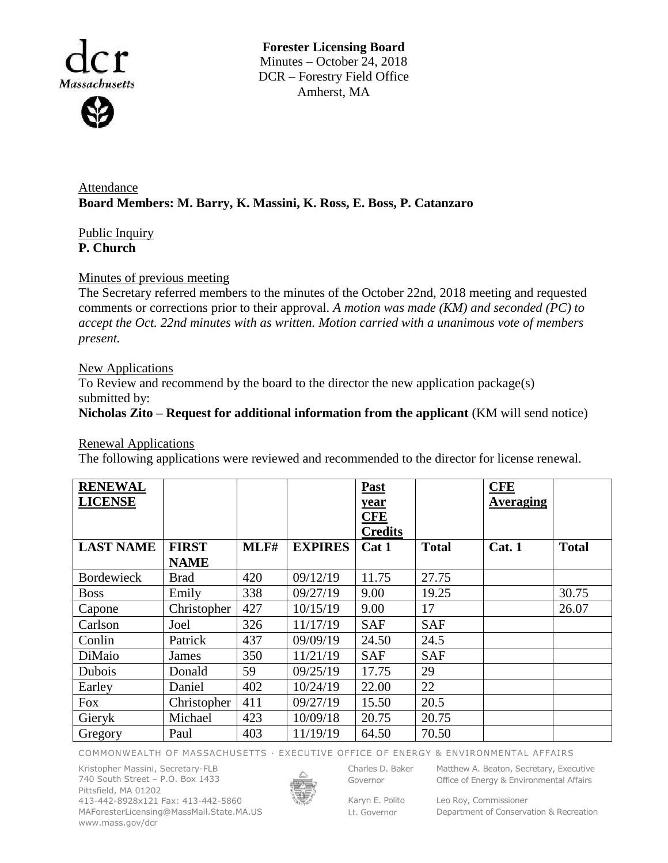

**Forester Licensing Board**  Minutes – October 24, 2018 DCR – Forestry Field Office Amherst, MA

Attendance **Board Members: M. Barry, K. Massini, K. Ross, E. Boss, P. Catanzaro**

# Public Inquiry **P. Church**

## Minutes of previous meeting

The Secretary referred members to the minutes of the October 22nd, 2018 meeting and requested comments or corrections prior to their approval. *A motion was made (KM) and seconded (PC) to accept the Oct. 22nd minutes with as written. Motion carried with a unanimous vote of members present.*

### New Applications

To Review and recommend by the board to the director the new application package(s) submitted by:

## **Nicholas Zito – Request for additional information from the applicant** (KM will send notice)

Renewal Applications

The following applications were reviewed and recommended to the director for license renewal.

| <b>RENEWAL</b><br><b>LICENSE</b> |              |      |                | Past<br>year<br><b>CFE</b><br><b>Credits</b> |              | <b>CFE</b><br><b>Averaging</b> |              |
|----------------------------------|--------------|------|----------------|----------------------------------------------|--------------|--------------------------------|--------------|
| <b>LAST NAME</b>                 | <b>FIRST</b> | MLF# | <b>EXPIRES</b> | Cat 1                                        | <b>Total</b> | Cat. 1                         | <b>Total</b> |
|                                  | <b>NAME</b>  |      |                |                                              |              |                                |              |
| <b>Bordewieck</b>                | <b>Brad</b>  | 420  | 09/12/19       | 11.75                                        | 27.75        |                                |              |
| <b>Boss</b>                      | Emily        | 338  | 09/27/19       | 9.00                                         | 19.25        |                                | 30.75        |
| Capone                           | Christopher  | 427  | 10/15/19       | 9.00                                         | 17           |                                | 26.07        |
| Carlson                          | Joel         | 326  | 11/17/19       | <b>SAF</b>                                   | <b>SAF</b>   |                                |              |
| Conlin                           | Patrick      | 437  | 09/09/19       | 24.50                                        | 24.5         |                                |              |
| DiMaio                           | James        | 350  | 11/21/19       | <b>SAF</b>                                   | <b>SAF</b>   |                                |              |
| Dubois                           | Donald       | 59   | 09/25/19       | 17.75                                        | 29           |                                |              |
| Earley                           | Daniel       | 402  | 10/24/19       | 22.00                                        | 22           |                                |              |
| Fox                              | Christopher  | 411  | 09/27/19       | 15.50                                        | 20.5         |                                |              |
| Gieryk                           | Michael      | 423  | 10/09/18       | 20.75                                        | 20.75        |                                |              |
| Gregory                          | Paul         | 403  | 11/19/19       | 64.50                                        | 70.50        |                                |              |

COMMONWEALTH OF MASSACHUSETTS · EXECUTIVE OFFICE OF ENERGY & ENVIRONMENTAL AFFAIRS

Kristopher Massini, Secretary-FLB 740 South Street – P.O. Box 1433 Pittsfield, MA 01202 413-442-8928x121 Fax: 413-442-5860 MAForesterLicensing@MassMail.State.MA.US www.mass.gov/dcr



Governor

Charles D. Baker Matthew A. Beaton, Secretary, Executive Office of Energy & Environmental Affairs

Karyn E. Polito Lt. Governor

Leo Roy, Commissioner Department of Conservation & Recreation